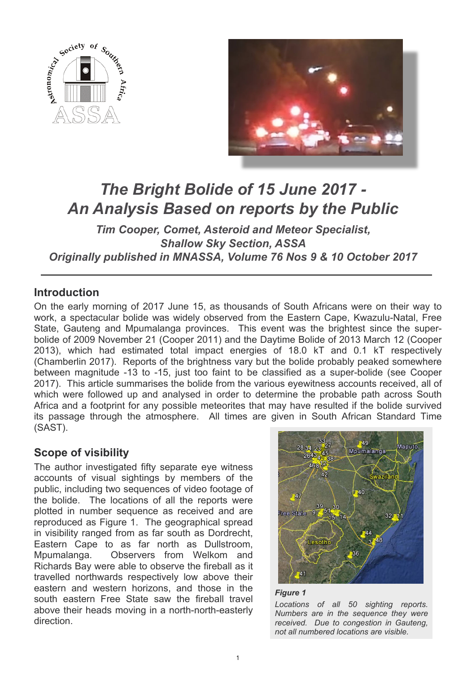



# *The Bright Bolide of 15 June 2017 - An Analysis Based on reports by the Public*

*Tim Cooper, Comet, Asteroid and Meteor Specialist, Shallow Sky Section, ASSA Originally published in MNASSA, Volume 76 Nos 9 & 10 October 2017*

# **Introduction**

On the early morning of 2017 June 15, as thousands of South Africans were on their way to work, a spectacular bolide was widely observed from the Eastern Cape, Kwazulu-Natal, Free State, Gauteng and Mpumalanga provinces. This event was the brightest since the superbolide of 2009 November 21 (Cooper 2011) and the Daytime Bolide of 2013 March 12 (Cooper 2013), which had estimated total impact energies of 18.0 kT and 0.1 kT respectively (Chamberlin 2017). Reports of the brightness vary but the bolide probably peaked somewhere between magnitude -13 to -15, just too faint to be classified as a super-bolide (see Cooper 2017). This article summarises the bolide from the various eyewitness accounts received, all of which were followed up and analysed in order to determine the probable path across South Africa and a footprint for any possible meteorites that may have resulted if the bolide survived its passage through the atmosphere. All times are given in South African Standard Time (SAST).

# **Scope of visibility**

The author investigated fifty separate eye witness accounts of visual sightings by members of the public, including two sequences of video footage of the bolide. The locations of all the reports were plotted in number sequence as received and are reproduced as Figure 1. The geographical spread in visibility ranged from as far south as Dordrecht, Eastern Cape to as far north as Dullstroom, Mpumalanga. Observers from Welkom and Richards Bay were able to observe the fireball as it travelled northwards respectively low above their eastern and western horizons, and those in the south eastern Free State saw the fireball travel above their heads moving in a north-north-easterly direction.



#### *Figure 1*

*Locations of all 50 sighting reports. Numbers are in the sequence they were received. Due to congestion in Gauteng, not all numbered locations are visible.*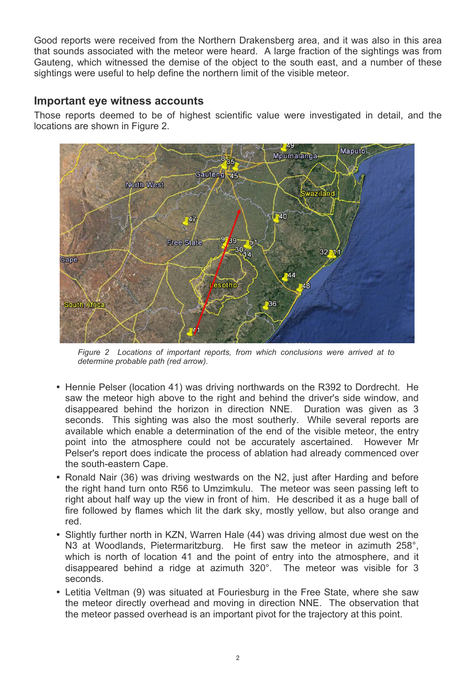Good reports were received from the Northern Drakensberg area, and it was also in this area that sounds associated with the meteor were heard. A large fraction of the sightings was from Gauteng, which witnessed the demise of the object to the south east, and a number of these sightings were useful to help define the northern limit of the visible meteor.

## **Important eye witness accounts**

Those reports deemed to be of highest scientific value were investigated in detail, and the locations are shown in Figure 2.



*Figure 2 Locations of important reports, from which conclusions were arrived at to determine probable path (red arrow).*

- ü Hennie Pelser (location 41) was driving northwards on the R392 to Dordrecht. He saw the meteor high above to the right and behind the driver's side window, and disappeared behind the horizon in direction NNE. Duration was given as 3 seconds. This sighting was also the most southerly. While several reports are available which enable a determination of the end of the visible meteor, the entry point into the atmosphere could not be accurately ascertained. However Mr Pelser's report does indicate the process of ablation had already commenced over the south-eastern Cape.
- Ronald Nair (36) was driving westwards on the N2, just after Harding and before the right hand turn onto R56 to Umzimkulu. The meteor was seen passing left to right about half way up the view in front of him. He described it as a huge ball of fire followed by flames which lit the dark sky, mostly yellow, but also orange and red.
- Slightly further north in KZN, Warren Hale (44) was driving almost due west on the N3 at Woodlands, Pietermaritzburg. He first saw the meteor in azimuth 258°, which is north of location 41 and the point of entry into the atmosphere, and it disappeared behind a ridge at azimuth 320°. The meteor was visible for 3 seconds.
- Letitia Veltman (9) was situated at Fouriesburg in the Free State, where she saw the meteor directly overhead and moving in direction NNE. The observation that the meteor passed overhead is an important pivot for the trajectory at this point.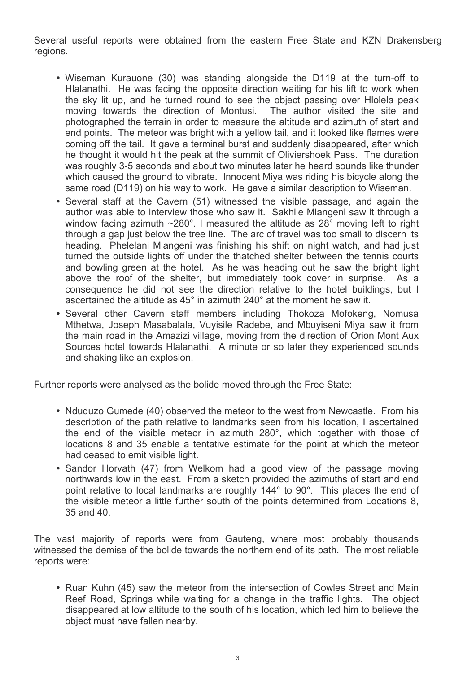Several useful reports were obtained from the eastern Free State and KZN Drakensberg regions.

- Wiseman Kurauone (30) was standing alongside the D119 at the turn-off to Hlalanathi. He was facing the opposite direction waiting for his lift to work when the sky lit up, and he turned round to see the object passing over Hlolela peak<br>moving towards the direction of Montusi. The author visited the site and moving towards the direction of Montusi. photographed the terrain in order to measure the altitude and azimuth of start and end points. The meteor was bright with a yellow tail, and it looked like flames were coming off the tail. It gave a terminal burst and suddenly disappeared, after which he thought it would hit the peak at the summit of Oliviershoek Pass. The duration was roughly 3-5 seconds and about two minutes later he heard sounds like thunder which caused the ground to vibrate. Innocent Miya was riding his bicycle along the same road (D119) on his way to work. He gave a similar description to Wiseman.
- Several staff at the Cavern (51) witnessed the visible passage, and again the author was able to interview those who saw it. Sakhile Mlangeni saw it through a window facing azimuth  $\sim$ 280°. I measured the altitude as 28 $\degree$  moving left to right through a gap just below the tree line. The arc of travel was too small to discern its heading. Phelelani Mlangeni was finishing his shift on night watch, and had just turned the outside lights off under the thatched shelter between the tennis courts and bowling green at the hotel. As he was heading out he saw the bright light above the roof of the shelter, but immediately took cover in surprise. As a consequence he did not see the direction relative to the hotel buildings, but I ascertained the altitude as 45° in azimuth 240° at the moment he saw it.
- Several other Cavern staff members including Thokoza Mofokeng, Nomusa Mthetwa, Joseph Masabalala, Vuyisile Radebe, and Mbuyiseni Miya saw it from the main road in the Amazizi village, moving from the direction of Orion Mont Aux Sources hotel towards Hlalanathi. A minute or so later they experienced sounds and shaking like an explosion.

Further reports were analysed as the bolide moved through the Free State:

- Nduduzo Gumede (40) observed the meteor to the west from Newcastle. From his description of the path relative to landmarks seen from his location, I ascertained the end of the visible meteor in azimuth 280°, which together with those of locations 8 and 35 enable a tentative estimate for the point at which the meteor had ceased to emit visible light.
- Sandor Horvath (47) from Welkom had a good view of the passage moving northwards low in the east. From a sketch provided the azimuths of start and end point relative to local landmarks are roughly 144° to 90°. This places the end of the visible meteor a little further south of the points determined from Locations 8, 35 and 40.

The vast majority of reports were from Gauteng, where most probably thousands witnessed the demise of the bolide towards the northern end of its path. The most reliable reports were:

• Ruan Kuhn (45) saw the meteor from the intersection of Cowles Street and Main Reef Road, Springs while waiting for a change in the traffic lights. The object disappeared at low altitude to the south of his location, which led him to believe the object must have fallen nearby.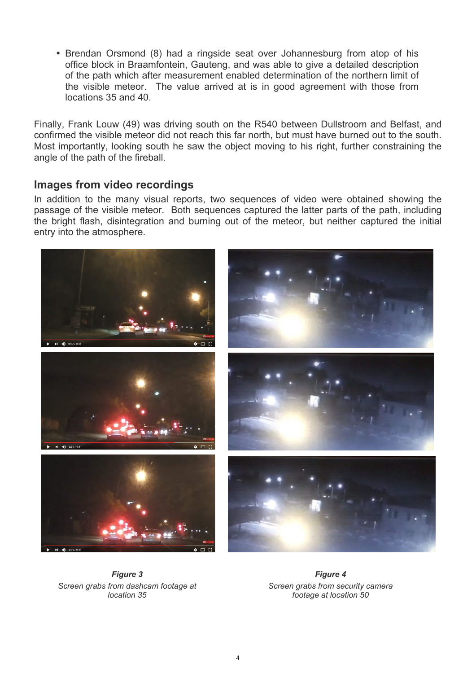• Brendan Orsmond (8) had a ringside seat over Johannesburg from atop of his office block in Braamfontein, Gauteng, and was able to give a detailed description of the path which after measurement enabled determination of the northern limit of the visible meteor. The value arrived at is in good agreement with those from locations 35 and 40.

Finally, Frank Louw (49) was driving south on the R540 between Dullstroom and Belfast, and confirmed the visible meteor did not reach this far north, but must have burned out to the south. Most importantly, looking south he saw the object moving to his right, further constraining the angle of the path of the fireball.

### **Images from video recordings**

In addition to the many visual reports, two sequences of video were obtained showing the passage of the visible meteor. Both sequences captured the latter parts of the path, including the bright flash, disintegration and burning out of the meteor, but neither captured the initial entry into the atmosphere.



*Figure 3 Screen grabs from dashcam footage at location 35*

*Figure 4 Screen grabs from security camera footage at location 50*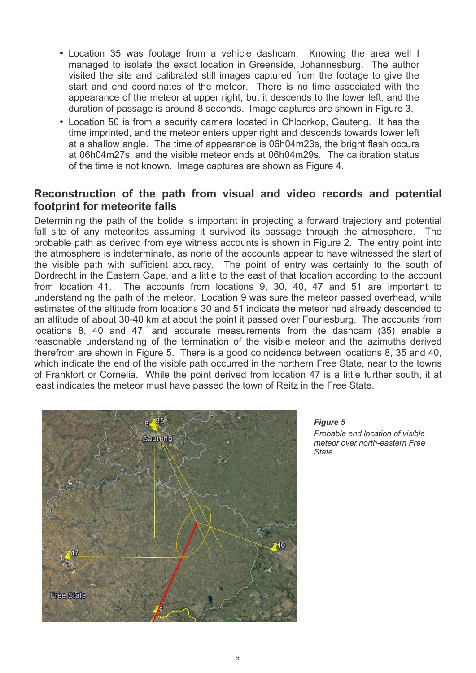- Location 35 was footage from a vehicle dashcam. Knowing the area well I managed to isolate the exact location in Greenside, Johannesburg. The author visited the site and calibrated still images captured from the footage to give the start and end coordinates of the meteor. There is no time associated with the appearance of the meteor at upper right, but it descends to the lower left, and the duration of passage is around 8 seconds. Image captures are shown in Figure 3.
- Location 50 is from a security camera located in Chloorkop, Gauteng. It has the time imprinted, and the meteor enters upper right and descends towards lower left at a shallow angle. The time of appearance is 06h04m23s, the bright flash occurs at 06h04m27s, and the visible meteor ends at 06h04m29s. The calibration status of the time is not known. Image captures are shown as Figure 4.

# **Reconstruction of the path from visual and video records and potential footprint for meteorite falls**

Determining the path of the bolide is important in projecting a forward trajectory and potential fall site of any meteorites assuming it survived its passage through the atmosphere. The probable path as derived from eye witness accounts is shown in Figure 2. The entry point into the atmosphere is indeterminate, as none of the accounts appear to have witnessed the start of the visible path with sufficient accuracy. The point of entry was certainly to the south of Dordrecht in the Eastern Cape, and a little to the east of that location according to the account from location 41. The accounts from locations 9, 30, 40, 47 and 51 are important to understanding the path of the meteor. Location 9 was sure the meteor passed overhead, while estimates of the altitude from locations 30 and 51 indicate the meteor had already descended to an altitude of about 30-40 km at about the point it passed over Fouriesburg. The accounts from locations 8, 40 and 47, and accurate measurements from the dashcam (35) enable a reasonable understanding of the termination of the visible meteor and the azimuths derived therefrom are shown in Figure 5. There is a good coincidence between locations 8, 35 and 40, which indicate the end of the visible path occurred in the northern Free State, near to the towns of Frankfort or Cornelia. While the point derived from location 47 is a little further south, it at least indicates the meteor must have passed the town of Reitz in the Free State.



*Figure 5*

*Probable end location of visible meteor over north-eastern Free State*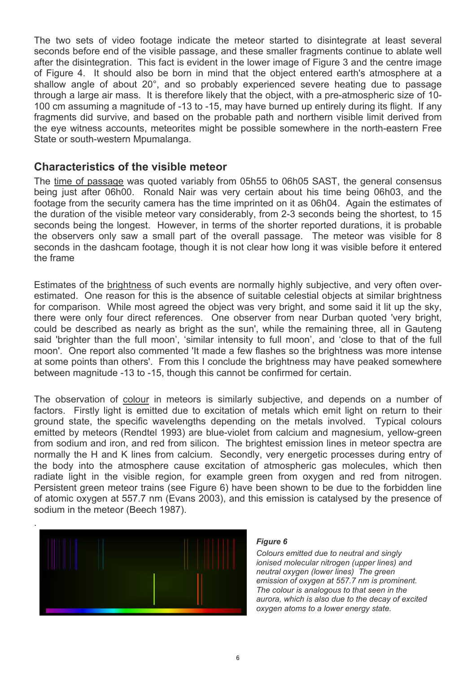The two sets of video footage indicate the meteor started to disintegrate at least several seconds before end of the visible passage, and these smaller fragments continue to ablate well after the disintegration. This fact is evident in the lower image of Figure 3 and the centre image of Figure 4. It should also be born in mind that the object entered earth's atmosphere at a shallow angle of about 20°, and so probably experienced severe heating due to passage through a large air mass. It is therefore likely that the object, with a pre-atmospheric size of 10- 100 cm assuming a magnitude of -13 to -15, may have burned up entirely during its flight. If any fragments did survive, and based on the probable path and northern visible limit derived from the eye witness accounts, meteorites might be possible somewhere in the north-eastern Free State or south-western Mpumalanga.

### **Characteristics of the visible meteor**

The time of passage was quoted variably from 05h55 to 06h05 SAST, the general consensus being just after 06h00. Ronald Nair was very certain about his time being 06h03, and the footage from the security camera has the time imprinted on it as 06h04. Again the estimates of the duration of the visible meteor vary considerably, from 2-3 seconds being the shortest, to 15 seconds being the longest. However, in terms of the shorter reported durations, it is probable the observers only saw a small part of the overall passage. The meteor was visible for 8 seconds in the dashcam footage, though it is not clear how long it was visible before it entered the frame

Estimates of the brightness of such events are normally highly subjective, and very often overestimated. One reason for this is the absence of suitable celestial objects at similar brightness for comparison. While most agreed the object was very bright, and some said it lit up the sky, there were only four direct references. One observer from near Durban quoted 'very bright, could be described as nearly as bright as the sun', while the remaining three, all in Gauteng said 'brighter than the full moon', 'similar intensity to full moon', and 'close to that of the full moon'. One report also commented 'It made a few flashes so the brightness was more intense at some points than others'. From this I conclude the brightness may have peaked somewhere between magnitude -13 to -15, though this cannot be confirmed for certain.

The observation of colour in meteors is similarly subjective, and depends on a number of factors. Firstly light is emitted due to excitation of metals which emit light on return to their ground state, the specific wavelengths depending on the metals involved. Typical colours emitted by meteors (Rendtel 1993) are blue-violet from calcium and magnesium, yellow-green from sodium and iron, and red from silicon. The brightest emission lines in meteor spectra are normally the H and K lines from calcium. Secondly, very energetic processes during entry of the body into the atmosphere cause excitation of atmospheric gas molecules, which then radiate light in the visible region, for example green from oxygen and red from nitrogen. Persistent green meteor trains (see Figure 6) have been shown to be due to the forbidden line of atomic oxygen at 557.7 nm (Evans 2003), and this emission is catalysed by the presence of sodium in the meteor (Beech 1987).



#### *Figure 6*

*Colours emitted due to neutral and singly ionised molecular nitrogen (upper lines) and neutral oxygen (lower lines) The green emission of oxygen at 557.7 nm is prominent. The colour is analogous to that seen in the aurora, which is also due to the decay of excited oxygen atoms to a lower energy state.*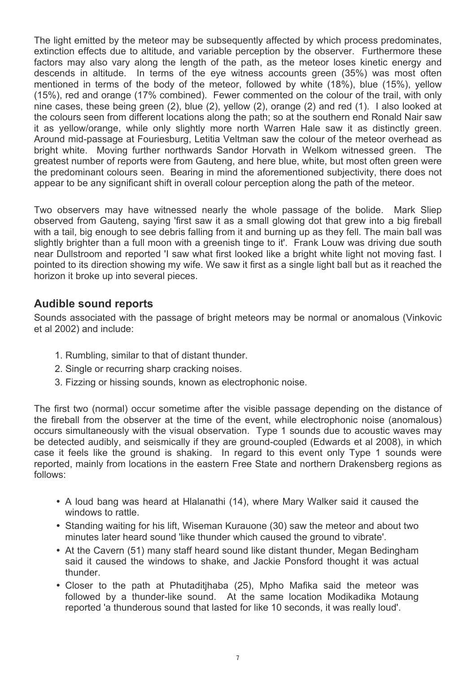The light emitted by the meteor may be subsequently affected by which process predominates, extinction effects due to altitude, and variable perception by the observer. Furthermore these factors may also vary along the length of the path, as the meteor loses kinetic energy and descends in altitude. In terms of the eye witness accounts green (35%) was most often mentioned in terms of the body of the meteor, followed by white (18%), blue (15%), yellow (15%), red and orange (17% combined). Fewer commented on the colour of the trail, with only nine cases, these being green (2), blue (2), yellow (2), orange (2) and red (1). I also looked at the colours seen from different locations along the path; so at the southern end Ronald Nair saw it as yellow/orange, while only slightly more north Warren Hale saw it as distinctly green. Around mid-passage at Fouriesburg, Letitia Veltman saw the colour of the meteor overhead as bright white. Moving further northwards Sandor Horvath in Welkom witnessed green. The greatest number of reports were from Gauteng, and here blue, white, but most often green were the predominant colours seen. Bearing in mind the aforementioned subjectivity, there does not appear to be any significant shift in overall colour perception along the path of the meteor.

Two observers may have witnessed nearly the whole passage of the bolide. Mark Sliep observed from Gauteng, saying 'first saw it as a small glowing dot that grew into a big fireball with a tail, big enough to see debris falling from it and burning up as they fell. The main ball was slightly brighter than a full moon with a greenish tinge to it'. Frank Louw was driving due south near Dullstroom and reported 'I saw what first looked like a bright white light not moving fast. I pointed to its direction showing my wife. We saw it first as a single light ball but as it reached the horizon it broke up into several pieces.

# **Audible sound reports**

Sounds associated with the passage of bright meteors may be normal or anomalous (Vinkovic et al 2002) and include:

- 1. Rumbling, similar to that of distant thunder.
- 2. Single or recurring sharp cracking noises.
- 3. Fizzing or hissing sounds, known as electrophonic noise.

The first two (normal) occur sometime after the visible passage depending on the distance of the fireball from the observer at the time of the event, while electrophonic noise (anomalous) occurs simultaneously with the visual observation. Type 1 sounds due to acoustic waves may be detected audibly, and seismically if they are ground-coupled (Edwards et al 2008), in which case it feels like the ground is shaking. In regard to this event only Type 1 sounds were reported, mainly from locations in the eastern Free State and northern Drakensberg regions as follows:

- A loud bang was heard at Hlalanathi (14), where Mary Walker said it caused the windows to rattle.
- Standing waiting for his lift, Wiseman Kurauone (30) saw the meteor and about two minutes later heard sound 'like thunder which caused the ground to vibrate'.
- At the Cavern (51) many staff heard sound like distant thunder, Megan Bedingham said it caused the windows to shake, and Jackie Ponsford thought it was actual thunder.
- Closer to the path at Phutaditihaba (25), Mpho Mafika said the meteor was followed by a thunder-like sound. At the same location Modikadika Motaung reported 'a thunderous sound that lasted for like 10 seconds, it was really loud'.